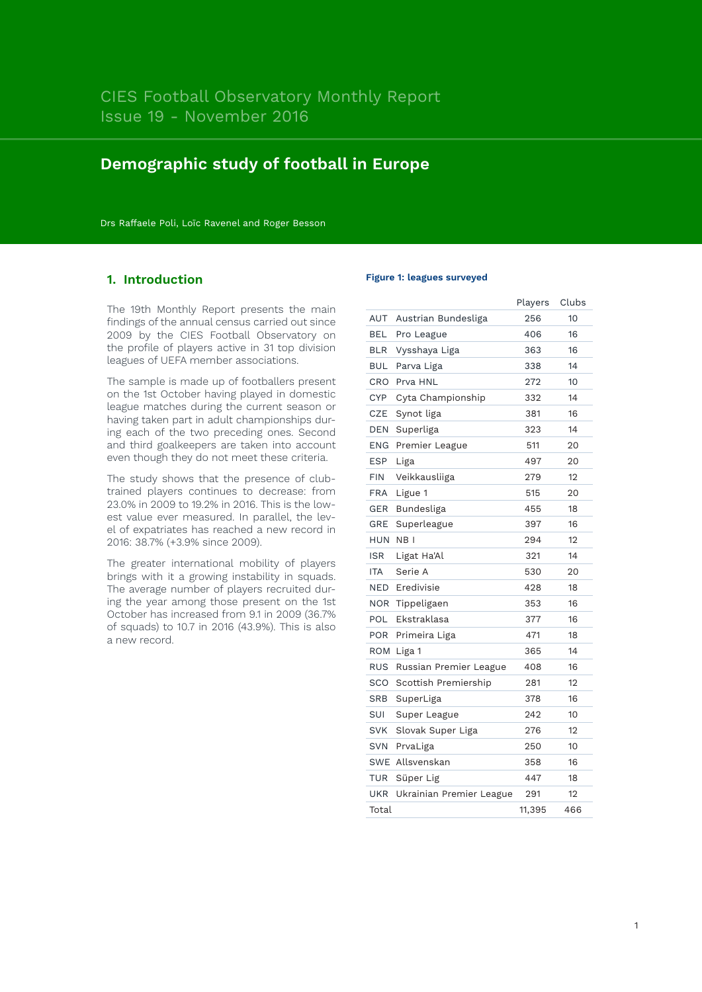# **Demographic study of football in Europe**

Drs Raffaele Poli, Loïc Ravenel and Roger Besson

# **1. Introduction**

The 19th Monthly Report presents the main findings of the annual census carried out since 2009 by the CIES Football Observatory on the profile of players active in 31 top division leagues of UEFA member associations.

The sample is made up of footballers present on the 1st October having played in domestic league matches during the current season or having taken part in adult championships during each of the two preceding ones. Second and third goalkeepers are taken into account even though they do not meet these criteria.

The study shows that the presence of clubtrained players continues to decrease: from 23.0% in 2009 to 19.2% in 2016. This is the lowest value ever measured. In parallel, the level of expatriates has reached a new record in 2016: 38.7% (+3.9% since 2009).

The greater international mobility of players brings with it a growing instability in squads. The average number of players recruited during the year among those present on the 1st October has increased from 9.1 in 2009 (36.7% of squads) to 10.7 in 2016 (43.9%). This is also a new record.

#### **Figure 1: leagues surveyed**

|            |                          | Players | Clubs |
|------------|--------------------------|---------|-------|
| AUT        | Austrian Bundesliga      | 256     | 10    |
| BEL        | Pro League               | 406     | 16    |
| <b>BLR</b> | Vysshaya Liga            | 363     | 16    |
| BUL        | Parva Liga               | 338     | 14    |
| CRO        | Prva HNL                 | 272     | 10    |
| <b>CYP</b> | Cyta Championship        | 332     | 14    |
| <b>CZE</b> | Synot liga               | 381     | 16    |
| DEN        | Superliga                | 323     | 14    |
| <b>ENG</b> | Premier League           | 511     | 20    |
| <b>ESP</b> | Liga                     | 497     | 20    |
| <b>FIN</b> | Veikkausliiga            | 279     | 12    |
| FRA        | Ligue 1                  | 515     | 20    |
| GER        | Bundesliga               | 455     | 18    |
| GRE        | Superleague              | 397     | 16    |
| <b>HUN</b> | NB <sub>I</sub>          | 294     | 12    |
| <b>ISR</b> | Ligat Ha'Al              | 321     | 14    |
| <b>ITA</b> | Serie A                  | 530     | 20    |
| NED        | Eredivisie               | 428     | 18    |
| NOR        | Tippeligaen              | 353     | 16    |
| POL        | Ekstraklasa              | 377     | 16    |
| <b>POR</b> | Primeira Liga            | 471     | 18    |
| ROM        | Liga 1                   | 365     | 14    |
| <b>RUS</b> | Russian Premier League   | 408     | 16    |
| SCO        | Scottish Premiership     | 281     | 12    |
| SRB        | SuperLiga                | 378     | 16    |
| SUI        | Super League             | 242     | 10    |
| <b>SVK</b> | Slovak Super Liga        | 276     | 12    |
| <b>SVN</b> | PrvaLiga                 | 250     | 10    |
| <b>SWE</b> | Allsvenskan              | 358     | 16    |
| TUR        | Süper Lig                | 447     | 18    |
| UKR        | Ukrainian Premier League | 291     | 12    |
| Total      |                          | 11,395  | 466   |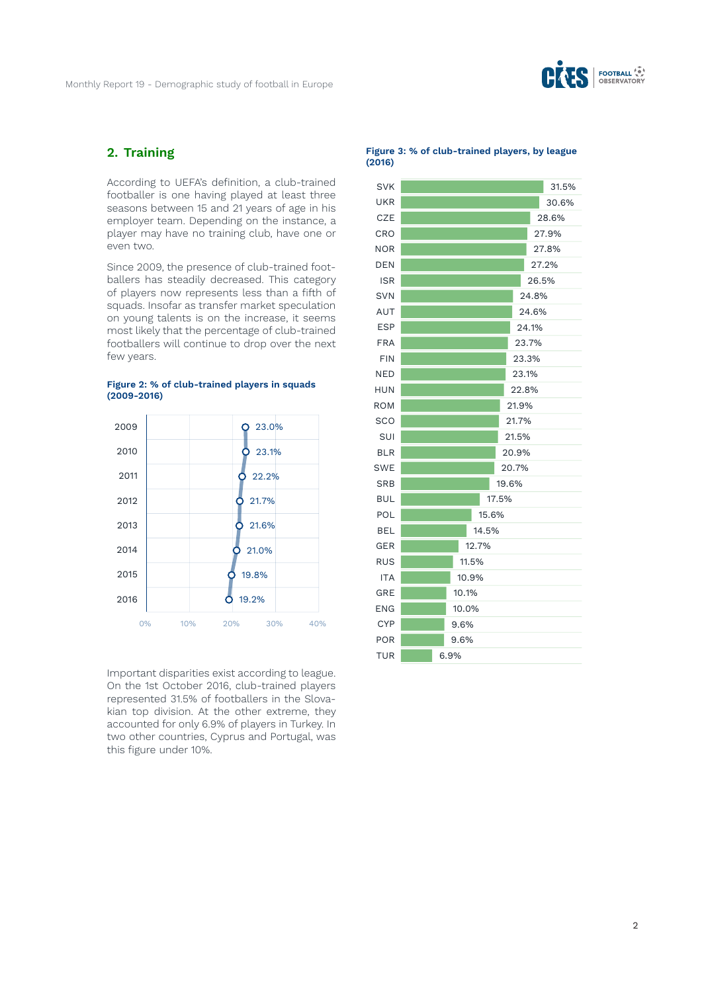

## **2. Training**

According to UEFA's definition, a club-trained footballer is one having played at least three seasons between 15 and 21 years of age in his employer team. Depending on the instance, a player may have no training club, have one or even two.

Since 2009, the presence of club-trained footballers has steadily decreased. This category of players now represents less than a fifth of squads. Insofar as transfer market speculation on young talents is on the increase, it seems most likely that the percentage of club-trained footballers will continue to drop over the next few years.

**Figure 2: % of club-trained players in squads** 



Important disparities exist according to league. On the 1st October 2016, club-trained players represented 31.5% of footballers in the Slovakian top division. At the other extreme, they accounted for only 6.9% of players in Turkey. In two other countries, Cyprus and Portugal, was this figure under 10%.

**Figure 3: % of club-trained players, by league (2016)**

| <b>SVK</b> |       |       |       |       |       | 31.5% |
|------------|-------|-------|-------|-------|-------|-------|
| UKR        |       |       |       |       |       | 30.6% |
| <b>CZE</b> |       |       |       |       |       | 28.6% |
| CRO        |       |       |       |       |       | 27.9% |
| <b>NOR</b> |       |       |       |       |       | 27.8% |
| <b>DEN</b> |       |       |       |       |       | 27.2% |
| <b>ISR</b> |       |       |       |       |       | 26.5% |
| <b>SVN</b> |       |       |       |       | 24.8% |       |
| AUT        |       |       |       |       | 24.6% |       |
| <b>ESP</b> |       |       |       |       | 24.1% |       |
| <b>FRA</b> |       |       |       |       | 23.7% |       |
| <b>FIN</b> |       |       |       |       | 23.3% |       |
| <b>NED</b> |       |       |       |       | 23.1% |       |
| <b>HUN</b> |       |       |       |       | 22.8% |       |
| <b>ROM</b> |       |       |       | 21.9% |       |       |
| <b>SCO</b> |       |       |       | 21.7% |       |       |
| SUI        |       |       |       | 21.5% |       |       |
| <b>BLR</b> |       |       |       | 20.9% |       |       |
| <b>SWE</b> |       |       |       | 20.7% |       |       |
| SRB        |       |       |       | 19.6% |       |       |
| <b>BUL</b> |       |       |       | 17.5% |       |       |
| POL        |       |       | 15.6% |       |       |       |
| <b>BEL</b> | 14.5% |       |       |       |       |       |
| <b>GER</b> | 12.7% |       |       |       |       |       |
| <b>RUS</b> | 11.5% |       |       |       |       |       |
| <b>ITA</b> | 10.9% |       |       |       |       |       |
| GRE        | 10.1% |       |       |       |       |       |
| ENG        |       | 10.0% |       |       |       |       |
| <b>CYP</b> |       | 9.6%  |       |       |       |       |
| POR        |       | 9.6%  |       |       |       |       |
| <b>TUR</b> | 6.9%  |       |       |       |       |       |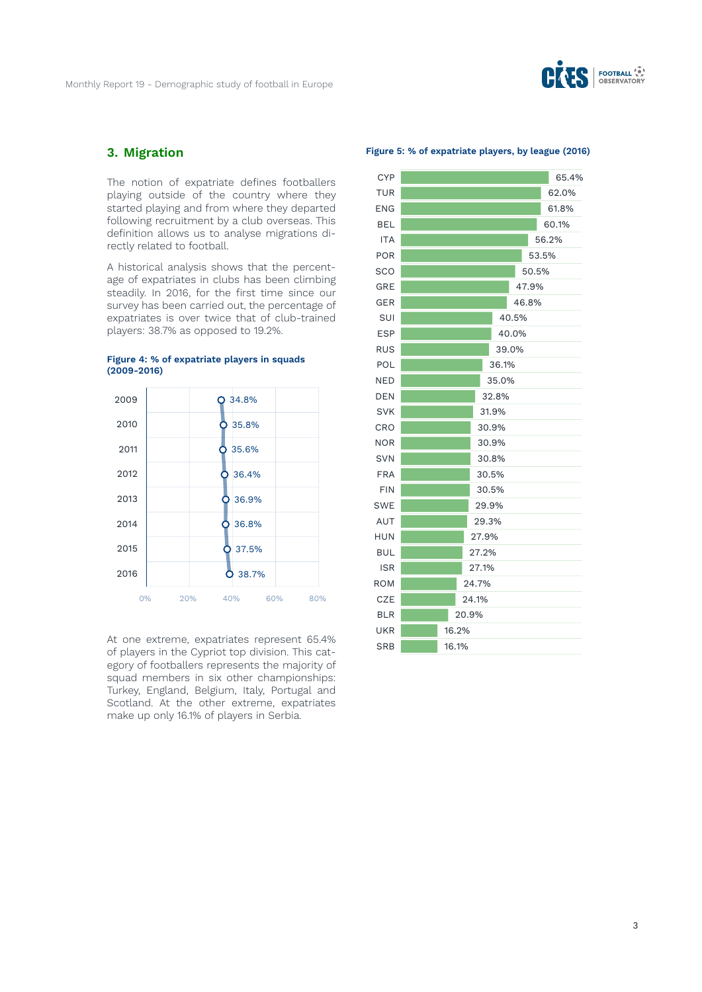

# **3. Migration**

The notion of expatriate defines footballers playing outside of the country where they started playing and from where they departed following recruitment by a club overseas. This definition allows us to analyse migrations directly related to football.

A historical analysis shows that the percentage of expatriates in clubs has been climbing steadily. In 2016, for the first time since our survey has been carried out, the percentage of expatriates is over twice that of club-trained players: 38.7% as opposed to 19.2%.



**Figure 4: % of expatriate players in squads (2009-2016)**

At one extreme, expatriates represent 65.4% of players in the Cypriot top division. This category of footballers represents the majority of squad members in six other championships: Turkey, England, Belgium, Italy, Portugal and Scotland. At the other extreme, expatriates make up only 16.1% of players in Serbia.

**Figure 5: % of expatriate players, by league (2016)**

| <b>CYP</b> |       |       |       |       |       |       | 65.4% |
|------------|-------|-------|-------|-------|-------|-------|-------|
| <b>TUR</b> |       |       |       |       |       |       | 62.0% |
| <b>ENG</b> |       |       |       |       |       |       | 61.8% |
| <b>BEL</b> |       |       |       |       |       |       | 60.1% |
| <b>ITA</b> |       |       |       |       |       |       | 56.2% |
| <b>POR</b> |       |       |       |       |       |       | 53.5% |
| <b>SCO</b> |       |       |       |       |       | 50.5% |       |
| <b>GRE</b> |       |       |       |       |       | 47.9% |       |
| <b>GER</b> |       |       |       |       |       | 46.8% |       |
| SUI        |       |       |       |       | 40.5% |       |       |
| <b>ESP</b> |       |       |       |       | 40.0% |       |       |
| <b>RUS</b> |       |       |       |       | 39.0% |       |       |
| POL        |       |       |       | 36.1% |       |       |       |
| <b>NED</b> |       |       |       | 35.0% |       |       |       |
| DEN        | 32.8% |       |       |       |       |       |       |
| <b>SVK</b> | 31.9% |       |       |       |       |       |       |
| CRO        |       |       | 30.9% |       |       |       |       |
| <b>NOR</b> |       |       | 30.9% |       |       |       |       |
| <b>SVN</b> |       |       | 30.8% |       |       |       |       |
| <b>FRA</b> |       |       | 30.5% |       |       |       |       |
| <b>FIN</b> |       |       | 30.5% |       |       |       |       |
| <b>SWE</b> |       |       | 29.9% |       |       |       |       |
| <b>AUT</b> |       |       | 29.3% |       |       |       |       |
| <b>HUN</b> |       |       | 27.9% |       |       |       |       |
| <b>BUL</b> |       |       | 27.2% |       |       |       |       |
| <b>ISR</b> |       |       | 27.1% |       |       |       |       |
| <b>ROM</b> |       |       | 24.7% |       |       |       |       |
| <b>CZE</b> |       |       | 24.1% |       |       |       |       |
| <b>BLR</b> |       |       | 20.9% |       |       |       |       |
| UKR        |       | 16.2% |       |       |       |       |       |
| <b>SRB</b> |       | 16.1% |       |       |       |       |       |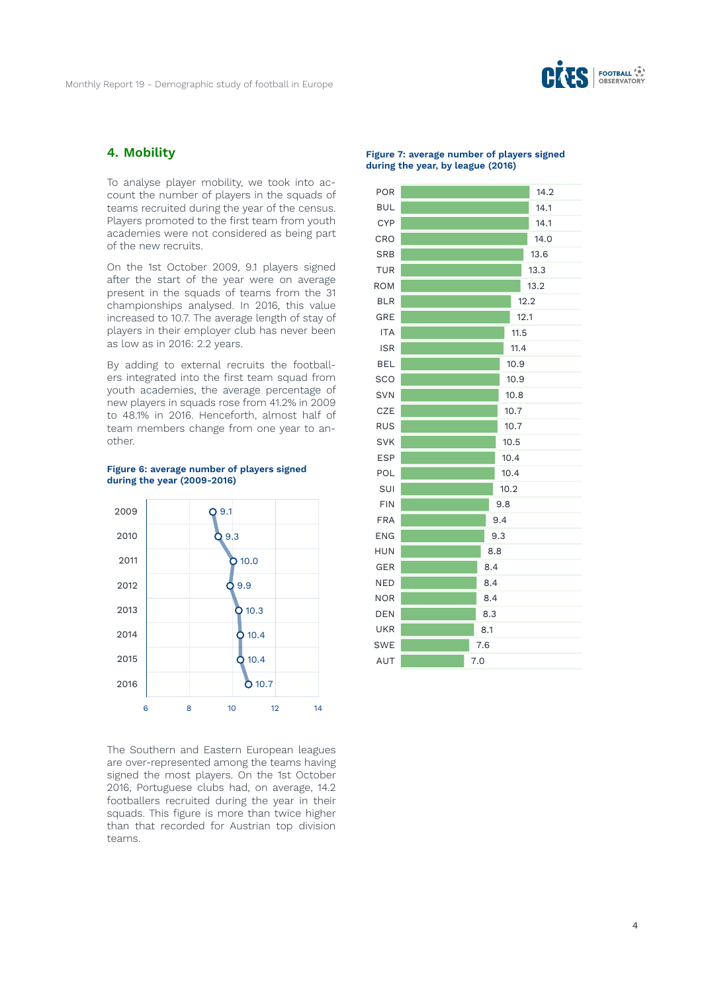

### **4. Mobility**

To analyse player mobility, we took into account the number of players in the squads of teams recruited during the year of the census. Players promoted to the first team from youth academies were not considered as being part of the new recruits.

On the 1st October 2009, 9.1 players signed after the start of the year were on average present in the squads of teams from the 31 championships analysed. In 2016, this value increased to 10.7. The average length of stay of players in their employer club has never been as low as in 2016: 2.2 years.

By adding to external recruits the footballers integrated into the first team squad from youth academies, the average percentage of new players in squads rose from 41.2% in 2009 to 48.1% in 2016. Henceforth, almost half of team members change from one year to another.





The Southern and Eastern European leagues are over-represented among the teams having signed the most players. On the 1st October 2016, Portuguese clubs had, on average, 14.2 footballers recruited during the year in their squads. This figure is more than twice higher than that recorded for Austrian top division teams.

#### **Figure 7: average number of players signed during the year, by league (2016)**

| POR        |     |     |      | 14.2 |
|------------|-----|-----|------|------|
| <b>BUL</b> |     |     |      | 14.1 |
| <b>CYP</b> |     |     |      | 14.1 |
| CRO        |     |     |      | 14.0 |
| <b>SRB</b> |     |     |      | 13.6 |
| <b>TUR</b> |     |     |      | 13.3 |
| <b>ROM</b> |     |     |      | 13.2 |
| <b>BLR</b> |     |     |      | 12.2 |
| GRE        |     |     |      | 12.1 |
| <b>ITA</b> |     |     |      | 11.5 |
| <b>ISR</b> |     |     | 11.4 |      |
| <b>BEL</b> |     |     | 10.9 |      |
| SCO        |     |     | 10.9 |      |
| <b>SVN</b> |     |     | 10.8 |      |
| CZE        |     |     | 10.7 |      |
| <b>RUS</b> |     |     | 10.7 |      |
| <b>SVK</b> |     |     | 10.5 |      |
| <b>ESP</b> |     |     | 10.4 |      |
| POL        |     |     | 10.4 |      |
| SUI        |     |     | 10.2 |      |
| <b>FIN</b> |     |     | 9.8  |      |
| <b>FRA</b> |     |     | 9.4  |      |
| <b>ENG</b> |     |     | 9.3  |      |
| <b>HUN</b> | 8.8 |     |      |      |
| <b>GER</b> | 8.4 |     |      |      |
| <b>NED</b> | 8.4 |     |      |      |
| <b>NOR</b> |     | 8.4 |      |      |
| <b>DEN</b> |     | 8.3 |      |      |
| <b>UKR</b> |     | 8.1 |      |      |
| <b>SWE</b> |     | 7.6 |      |      |
| AUT        |     | 7.0 |      |      |